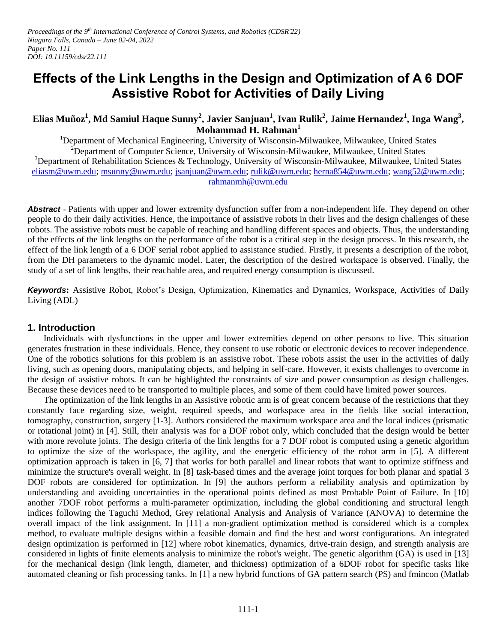# **Effects of the Link Lengths in the Design and Optimization of A 6 DOF Assistive Robot for Activities of Daily Living**

## **Elias Muñoz<sup>1</sup> , Md Samiul Haque Sunny<sup>2</sup> , Javier Sanjuan<sup>1</sup> , Ivan Rulik<sup>2</sup> , Jaime Hernandez<sup>1</sup> , Inga Wang<sup>3</sup> , Mohammad H. Rahman<sup>1</sup>**

<sup>1</sup>Department of Mechanical Engineering, University of Wisconsin-Milwaukee, Milwaukee, United States  $2D$ epartment of Computer Science, University of Wisconsin-Milwaukee, Milwaukee, United States  $3$ Department of Rehabilitation Sciences & Technology, University of Wisconsin-Milwaukee, Milwaukee, United States [eliasm@uwm.edu;](mailto:eliasm@uwm.edu) [msunny@uwm.edu;](mailto:msunny@uwm.edu) [jsanjuan@uwm.edu;](mailto:jsanjuan@uwm.edu) [rulik@uwm.edu;](mailto:rulik@uwm.edu) [herna854@uwm.edu;](mailto:herna854@uwm.edu) [wang52@uwm.edu;](mailto:wang52@uwm.edu) [rahmanmh@uwm.edu](mailto:rahmanmh@uwm.edu) 

*Abstract* **-** Patients with upper and lower extremity dysfunction suffer from a non-independent life. They depend on other people to do their daily activities. Hence, the importance of assistive robots in their lives and the design challenges of these robots. The assistive robots must be capable of reaching and handling different spaces and objects. Thus, the understanding of the effects of the link lengths on the performance of the robot is a critical step in the design process. In this research, the effect of the link length of a 6 DOF serial robot applied to assistance studied. Firstly, it presents a description of the robot, from the DH parameters to the dynamic model. Later, the description of the desired workspace is observed. Finally, the study of a set of link lengths, their reachable area, and required energy consumption is discussed.

*Keywords***:** Assistive Robot, Robot's Design, Optimization, Kinematics and Dynamics, Workspace, Activities of Daily Living (ADL)

## **1. Introduction**

Individuals with dysfunctions in the upper and lower extremities depend on other persons to live. This situation generates frustration in these individuals. Hence, they consent to use robotic or electronic devices to recover independence. One of the robotics solutions for this problem is an assistive robot. These robots assist the user in the activities of daily living, such as opening doors, manipulating objects, and helping in self-care. However, it exists challenges to overcome in the design of assistive robots. It can be highlighted the constraints of size and power consumption as design challenges. Because these devices need to be transported to multiple places, and some of them could have limited power sources.

The optimization of the link lengths in an Assistive robotic arm is of great concern because of the restrictions that they constantly face regarding size, weight, required speeds, and workspace area in the fields like social interaction, tomography, construction, surgery [1-3]. Authors considered the maximum workspace area and the local indices (prismatic or rotational joint) in [4]. Still, their analysis was for a DOF robot only, which concluded that the design would be better with more revolute joints. The design criteria of the link lengths for a 7 DOF robot is computed using a genetic algorithm to optimize the size of the workspace, the agility, and the energetic efficiency of the robot arm in [5]. A different optimization approach is taken in [6, 7] that works for both parallel and linear robots that want to optimize stiffness and minimize the structure's overall weight. In [8] task-based times and the average joint torques for both planar and spatial 3 DOF robots are considered for optimization. In [9] the authors perform a reliability analysis and optimization by understanding and avoiding uncertainties in the operational points defined as most Probable Point of Failure. In [10] another 7DOF robot performs a multi-parameter optimization, including the global conditioning and structural length indices following the Taguchi Method, Grey relational Analysis and Analysis of Variance (ANOVA) to determine the overall impact of the link assignment. In [11] a non-gradient optimization method is considered which is a complex method, to evaluate multiple designs within a feasible domain and find the best and worst configurations. An integrated design optimization is performed in [12] where robot kinematics, dynamics, drive-train design, and strength analysis are considered in lights of finite elements analysis to minimize the robot's weight. The genetic algorithm (GA) is used in [13] for the mechanical design (link length, diameter, and thickness) optimization of a 6DOF robot for specific tasks like automated cleaning or fish processing tanks. In [1] a new hybrid functions of GA pattern search (PS) and fmincon (Matlab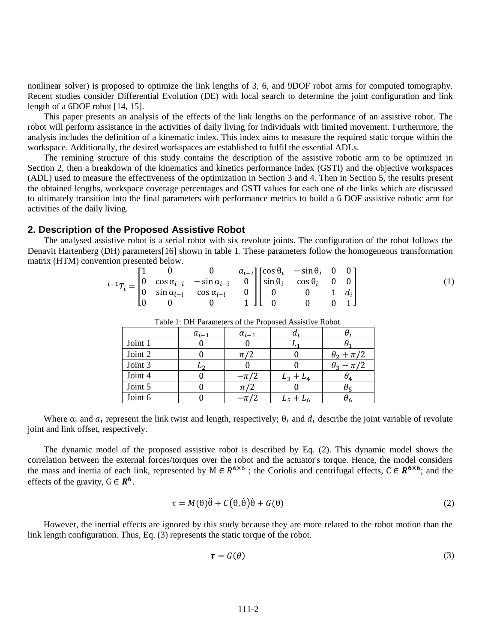nonlinear solver) is proposed to optimize the link lengths of 3, 6, and 9DOF robot arms for computed tomography. Recent studies consider Differential Evolution (DE) with local search to determine the joint configuration and link length of a 6DOF robot [14, 15].

This paper presents an analysis of the effects of the link lengths on the performance of an assistive robot. The robot will perform assistance in the activities of daily living for individuals with limited movement. Furthermore, the analysis includes the definition of a kinematic index. This index aims to measure the required static torque within the workspace. Additionally, the desired workspaces are established to fulfil the essential ADLs.

The remining structure of this study contains the description of the assistive robotic arm to be optimized in Section 2, then a breakdown of the kinematics and kinetics performance index (GSTI) and the objective workspaces (ADL) used to measure the effectiveness of the optimization in Section 3 and 4. Then in Section 5, the results present the obtained lengths, workspace coverage percentages and GSTI values for each one of the links which are discussed to ultimately transition into the final parameters with performance metrics to build a 6 DOF assistive robotic arm for activities of the daily living.

#### **2. Description of the Proposed Assistive Robot**

The analysed assistive robot is a serial robot with six revolute joints. The configuration of the robot follows the Denavit Hartenberg (DH) parameters[16] shown in table 1. These parameters follow the homogeneous transformation matrix (HTM) convention presented below.

$$
{}^{i-1}T_i = \begin{bmatrix} 1 & 0 & 0 & a_{i-i} \\ 0 & \cos \alpha_{i-i} & -\sin \alpha_{i-i} & 0 \\ 0 & \sin \alpha_{i-i} & \cos \alpha_{i-i} & 0 \\ 0 & 0 & 0 & 1 \end{bmatrix} \begin{bmatrix} \cos \theta_i & -\sin \theta_i & 0 & 0 \\ \sin \theta_i & \cos \theta_i & 0 & 0 \\ 0 & 0 & 1 & d_i \\ 0 & 0 & 0 & 1 \end{bmatrix}
$$
 (1)

|         | $a_{i-1}$ | $\alpha_{i-1}$ |             |                        |
|---------|-----------|----------------|-------------|------------------------|
| Joint 1 |           |                |             |                        |
| Joint 2 |           | $\pi/2$        |             | $\theta_2 + \pi/2$     |
| Joint 3 | L7        |                |             | $-\pi/2$<br>$\theta_3$ |
| Joint 4 |           | $-\pi/2$       | $L_3 + L_4$ | UΛ.                    |
| Joint 5 |           | $\pi/2$        |             |                        |
| Joint 6 |           | $-\pi$ '       | L5 -        |                        |

Table 1: DH Parameters of the Proposed Assistive Robot.

Where  $\alpha_i$  and  $a_i$  represent the link twist and length, respectively;  $\theta_i$  and  $d_i$  describe the joint variable of revolute joint and link offset, respectively.

The dynamic model of the proposed assistive robot is described by Eq. (2). This dynamic model shows the correlation between the external forces/torques over the robot and the actuator's torque. Hence, the model considers the mass and inertia of each link, represented by  $M \in R^{6\times6}$ ; the Coriolis and centrifugal effects,  $C \in R^{6\times6}$ ; and the effects of the gravity,  $G \in \mathbb{R}^6$ .

$$
\tau = M(\theta)\ddot{\theta} + C(\theta,\dot{\theta})\dot{\theta} + G(\theta)
$$
\n(2)

However, the inertial effects are ignored by this study because they are more related to the robot motion than the link length configuration. Thus, Eq. (3) represents the static torque of the robot.

$$
\boldsymbol{\tau} = \boldsymbol{G}(\boldsymbol{\theta}) \tag{3}
$$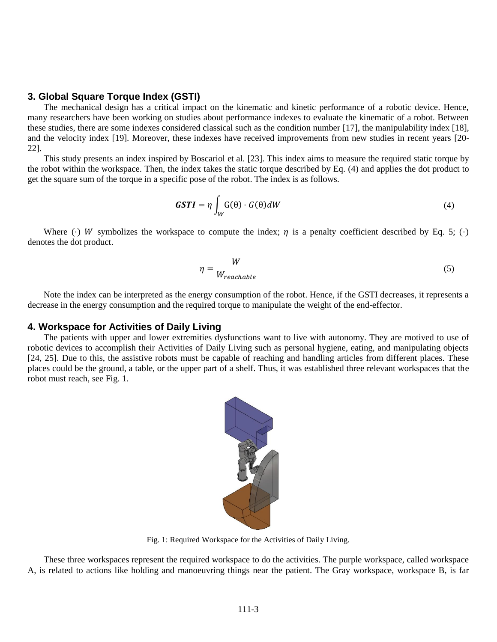#### **3. Global Square Torque Index (GSTI)**

The mechanical design has a critical impact on the kinematic and kinetic performance of a robotic device. Hence, many researchers have been working on studies about performance indexes to evaluate the kinematic of a robot. Between these studies, there are some indexes considered classical such as the condition number [17], the manipulability index [18], and the velocity index [19]. Moreover, these indexes have received improvements from new studies in recent years [20- 22].

This study presents an index inspired by Boscariol et al. [23]. This index aims to measure the required static torque by the robot within the workspace. Then, the index takes the static torque described by Eq. (4) and applies the dot product to get the square sum of the torque in a specific pose of the robot. The index is as follows.

$$
GSTI = \eta \int_{W} G(\theta) \cdot G(\theta) dW \tag{4}
$$

Where ( $\cdot$ ) W symbolizes the workspace to compute the index;  $\eta$  is a penalty coefficient described by Eq. 5; ( $\cdot$ ) denotes the dot product.

$$
\eta = \frac{W}{W_{reachable}}
$$
\n(5)

Note the index can be interpreted as the energy consumption of the robot. Hence, if the GSTI decreases, it represents a decrease in the energy consumption and the required torque to manipulate the weight of the end-effector.

## **4. Workspace for Activities of Daily Living**

The patients with upper and lower extremities dysfunctions want to live with autonomy. They are motived to use of robotic devices to accomplish their Activities of Daily Living such as personal hygiene, eating, and manipulating objects [24, 25]. Due to this, the assistive robots must be capable of reaching and handling articles from different places. These places could be the ground, a table, or the upper part of a shelf. Thus, it was established three relevant workspaces that the robot must reach, see Fig. 1.



Fig. 1: Required Workspace for the Activities of Daily Living.

These three workspaces represent the required workspace to do the activities. The purple workspace, called workspace A, is related to actions like holding and manoeuvring things near the patient. The Gray workspace, workspace B, is far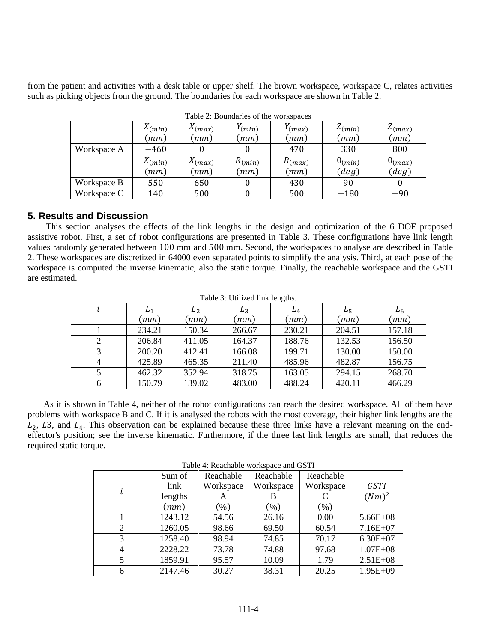from the patient and activities with a desk table or upper shelf. The brown workspace, workspace C, relates activities such as picking objects from the ground. The boundaries for each workspace are shown in Table 2.

|             | $\Lambda$ (min) | $X_{(max)}$ | $V_{(min)}$ | $V_{(max)}$ | $Z_{(min)}$      | $Z_{(max)}$        |
|-------------|-----------------|-------------|-------------|-------------|------------------|--------------------|
|             | (mm)            | (mm)        | (mm)        | (mm)        | (mm)             | $\left( mm\right)$ |
| Workspace A | $-460$          |             |             | 470         | 330              | 800                |
|             | $\Lambda$ (min) | $X_{(max)}$ | $R_{(min)}$ | $R_{(max)}$ | $\theta_{(min)}$ | $\theta_{(max)}$   |
|             | (mm)            | (mm)        | (mm)        | (mm)        | (deg)            | (deg)              |
| Workspace B | 550             | 650         |             | 430         | 90               |                    |
| Workspace C | 140             | 500         |             | 500         | $-180$           | $-90$              |

Table 2: Boundaries of the workspaces

## **5. Results and Discussion**

This section analyses the effects of the link lengths in the design and optimization of the 6 DOF proposed assistive robot. First, a set of robot configurations are presented in Table 3. These configurations have link length values randomly generated between 100 mm and 500 mm. Second, the workspaces to analyse are described in Table 2. These workspaces are discretized in 64000 even separated points to simplify the analysis. Third, at each pose of the workspace is computed the inverse kinematic, also the static torque. Finally, the reachable workspace and the GSTI are estimated.

| Table 3: Utilized link lengths. |        |         |        |        |        |         |
|---------------------------------|--------|---------|--------|--------|--------|---------|
|                                 | $L_1$  | $L_{2}$ | $L_3$  | $L_4$  | $L_5$  | $L_{6}$ |
|                                 | (mm)   | (mm)    | (mm)   | (mm)   | (mm)   | (mm)    |
|                                 | 234.21 | 150.34  | 266.67 | 230.21 | 204.51 | 157.18  |
|                                 | 206.84 | 411.05  | 164.37 | 188.76 | 132.53 | 156.50  |
| 3                               | 200.20 | 412.41  | 166.08 | 199.71 | 130.00 | 150.00  |
| 4                               | 425.89 | 465.35  | 211.40 | 485.96 | 482.87 | 156.75  |
|                                 | 462.32 | 352.94  | 318.75 | 163.05 | 294.15 | 268.70  |
| 6                               | 150.79 | 139.02  | 483.00 | 488.24 | 420.11 | 466.29  |

As it is shown in Table 4, neither of the robot configurations can reach the desired workspace. All of them have problems with workspace B and C. If it is analysed the robots with the most coverage, their higher link lengths are the  $L_2$ , L3, and  $L_4$ . This observation can be explained because these three links have a relevant meaning on the endeffector's position; see the inverse kinematic. Furthermore, if the three last link lengths are small, that reduces the required static torque.

Table 4: Reachable workspace and GSTI

| Tuble 1: Iteachache workspace and Ob II |         |           |           |           |              |  |
|-----------------------------------------|---------|-----------|-----------|-----------|--------------|--|
|                                         | Sum of  | Reachable | Reachable | Reachable |              |  |
|                                         | link    | Workspace | Workspace | Workspace | <b>GSTI</b>  |  |
|                                         | lengths |           |           |           | $(Nm)^2$     |  |
|                                         | (mm)    | $(\% )$   | (%)       | $(\% )$   |              |  |
|                                         | 1243.12 | 54.56     | 26.16     | 0.00      | $5.66E + 08$ |  |
| 2                                       | 1260.05 | 98.66     | 69.50     | 60.54     | $7.16E+07$   |  |
| 3                                       | 1258.40 | 98.94     | 74.85     | 70.17     | $6.30E + 07$ |  |
| 4                                       | 2228.22 | 73.78     | 74.88     | 97.68     | $1.07E + 08$ |  |
|                                         | 1859.91 | 95.57     | 10.09     | 1.79      | $2.51E + 08$ |  |
| 6                                       | 2147.46 | 30.27     | 38.31     | 20.25     | $1.95E + 09$ |  |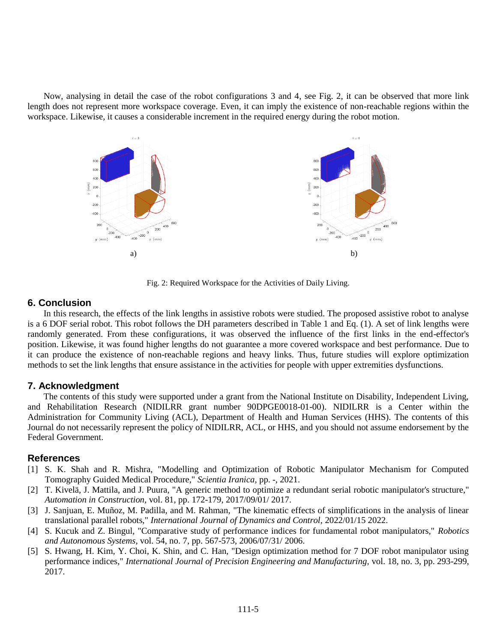Now, analysing in detail the case of the robot configurations 3 and 4, see Fig. 2, it can be observed that more link length does not represent more workspace coverage. Even, it can imply the existence of non-reachable regions within the workspace. Likewise, it causes a considerable increment in the required energy during the robot motion.



Fig. 2: Required Workspace for the Activities of Daily Living.

#### **6. Conclusion**

In this research, the effects of the link lengths in assistive robots were studied. The proposed assistive robot to analyse is a 6 DOF serial robot. This robot follows the DH parameters described in Table 1 and Eq. (1). A set of link lengths were randomly generated. From these configurations, it was observed the influence of the first links in the end-effector's position. Likewise, it was found higher lengths do not guarantee a more covered workspace and best performance. Due to it can produce the existence of non-reachable regions and heavy links. Thus, future studies will explore optimization methods to set the link lengths that ensure assistance in the activities for people with upper extremities dysfunctions.

#### **7. Acknowledgment**

The contents of this study were supported under a grant from the National Institute on Disability, Independent Living, and Rehabilitation Research (NIDILRR grant number 90DPGE0018-01-00). NIDILRR is a Center within the Administration for Community Living (ACL), Department of Health and Human Services (HHS). The contents of this Journal do not necessarily represent the policy of NIDILRR, ACL, or HHS, and you should not assume endorsement by the Federal Government.

#### **References**

- [1] S. K. Shah and R. Mishra, "Modelling and Optimization of Robotic Manipulator Mechanism for Computed Tomography Guided Medical Procedure," *Scientia Iranica,* pp. -, 2021.
- [2] T. Kivelä, J. Mattila, and J. Puura, "A generic method to optimize a redundant serial robotic manipulator's structure," *Automation in Construction,* vol. 81, pp. 172-179, 2017/09/01/ 2017.
- [3] J. Sanjuan, E. Muñoz, M. Padilla, and M. Rahman, "The kinematic effects of simplifications in the analysis of linear translational parallel robots," *International Journal of Dynamics and Control,* 2022/01/15 2022.
- [4] S. Kucuk and Z. Bingul, "Comparative study of performance indices for fundamental robot manipulators," *Robotics and Autonomous Systems,* vol. 54, no. 7, pp. 567-573, 2006/07/31/ 2006.
- [5] S. Hwang, H. Kim, Y. Choi, K. Shin, and C. Han, "Design optimization method for 7 DOF robot manipulator using performance indices," *International Journal of Precision Engineering and Manufacturing,* vol. 18, no. 3, pp. 293-299, 2017.